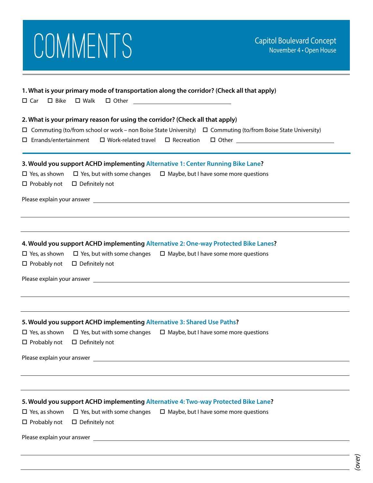|                                                                   | COMMENTS                                     |                                                                                                                                                                                                                                                                             | <b>Capitol Boulevard Concept</b><br>November 4 · Open House |
|-------------------------------------------------------------------|----------------------------------------------|-----------------------------------------------------------------------------------------------------------------------------------------------------------------------------------------------------------------------------------------------------------------------------|-------------------------------------------------------------|
| $\square$ Bike<br>$\square$ Car                                   | $\square$ Walk                               | 1. What is your primary mode of transportation along the corridor? (Check all that apply)<br>$\Box$ Other $\Box$                                                                                                                                                            |                                                             |
| $\Box$ Errands/entertainment                                      | $\Box$ Work-related travel $\Box$ Recreation | 2. What is your primary reason for using the corridor? (Check all that apply)<br>$\Box$ Commuting (to/from school or work – non Boise State University) $\Box$ Commuting (to/from Boise State University)                                                                   |                                                             |
| $\Box$ Probably not $\Box$ Definitely not                         |                                              | 3. Would you support ACHD implementing Alternative 1: Center Running Bike Lane?<br>$\Box$ Yes, as shown $\Box$ Yes, but with some changes $\Box$ Maybe, but I have some more questions                                                                                      |                                                             |
| $\Box$ Probably not $\Box$ Definitely not                         |                                              | 4. Would you support ACHD implementing Alternative 2: One-way Protected Bike Lanes?<br>$\Box$ Yes, as shown $\Box$ Yes, but with some changes $\Box$ Maybe, but I have some more questions                                                                                  |                                                             |
| $\Box$ Yes, as shown<br>$\Box$ Probably not $\Box$ Definitely not |                                              | 5. Would you support ACHD implementing Alternative 3: Shared Use Paths?<br>$\Box$ Yes, but with some changes $\Box$ Maybe, but I have some more questions<br>Please explain your answer and the contract of the contract of the contract of the contract of the contract of |                                                             |
| $\Box$ Yes, as shown<br>$\square$ Probably not                    | $\square$ Definitely not                     | 5. Would you support ACHD implementing Alternative 4: Two-way Protected Bike Lane?<br>$\Box$ Yes, but with some changes $\Box$ Maybe, but I have some more questions                                                                                                        |                                                             |